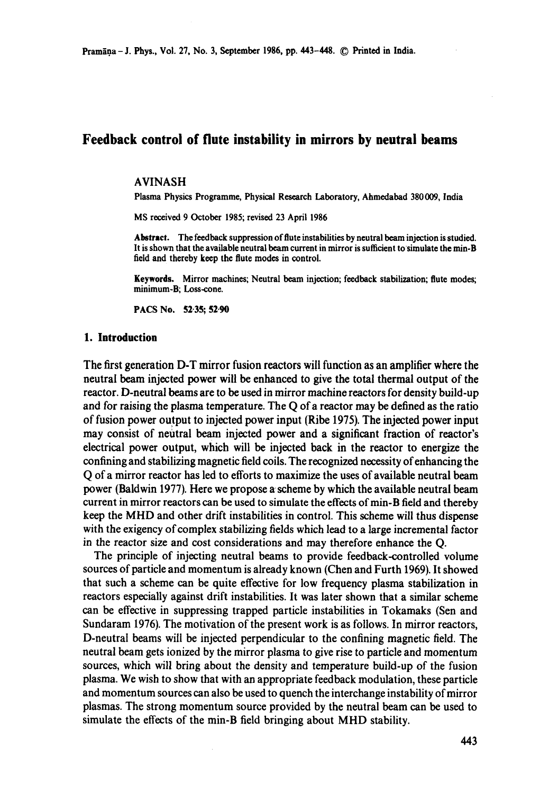# **Feedback control of flute instability in mirrors by neutral beams**

#### AVINASH

Plasma Physics Programme, Physical Research Laboratory, Ahmedabad 380009, India

MS received 9 October 1985; revised 23 April 1986

**Abstract.** The feedback suppression of flute instabilities by neutral beam injection is studied. It is shown that the available neutral beam current in mirror is sufficient tosimulate the min-B field and thereby keep the flute modes in control.

**Keywords.** Mirror machines; Neutral beam injection; feedback stabilization; flute modes; minimum-B; Loss-cone.

PACS No. 52.35; 52.90

### **1. Introduction**

The first generation D-T mirror fusion reactors will function as an amplifier where the neutral beam injected power will be enhanced to give the total thermal output of the reactor. D-neutral beams are to be used in mirror machine reactors for density build-up and for raising the plasma temperature. The Q of a reactor may be defined as the ratio of fusion power output to injected power input (Ribe 1975). The injected power input may consist of neutral beam injected power and a significant fraction of reactor's electrical power output, which will be injected back in the reactor to energize the confining and stabilizing magnetic field coils. The recognized necessity of enhancing the Q of a mirror reactor has led to efforts to maximize the uses of available neutral beam power (Baldwin 1977). Here we propose a' scheme by which the available neutral beam current in mirror reactors can be used to simulate the effects of min-B field and thereby keep the MHD and other drift instabilities in control. This scheme will thus dispense with the exigency of complex stabilizing fields which lead to a large incremental factor in the reactor size and cost considerations and may therefore enhance the Q.

The principle of injecting neutral beams to provide feedback-controlled volume sources of particle and momentum is already known (Chen and Furth 1969). It showed that such a scheme can be quite effective for low frequency plasma stabilization in reactors especially against drift instabilities. It was later shown that a similar scheme can be effective in suppressing trapped particle instabilities in Tokamaks (Sen and Sundaram 1976). The motivation of the present work is as follows. In mirror reactors, D-neutral beams will be injected perpendicular to the confining magnetic field. The neutral beam gets ionized by the mirror plasma to give rise to particle and momentum sources, which will bring about the density and temperature build-up of the fusion plasma. We wish to show that with an appropriate feedback modulation, these particle and momentum sources can also be used to quench the interchange instability of mirror plasmas. The strong momentum source provided by the neutral beam can be used to simulate the effects of the min-B field bringing about MHD stability.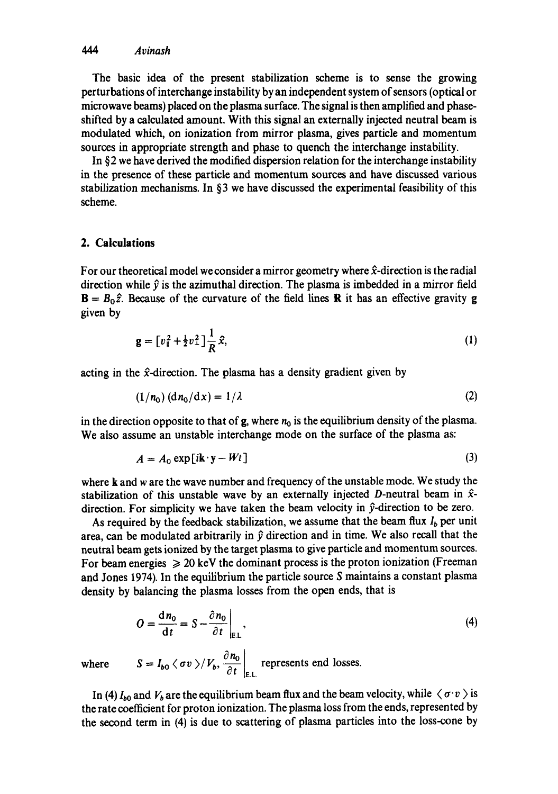The basic idea of the present stabilization scheme is to sense the growing perturbations of interchange instability by an independent system of sensors (optical or microwave beams) placed on the plasma surface. The signal is then amplified and phaseshifted by a calculated amount. With this signal an externally injected neutral beam is modulated which, on ionization from mirror plasma, gives particle and momentum sources in appropriate strength and phase to quench the interchange instability.

In §2 we have derived the modified dispersion relation for the interchange instability in the presence of these particle and momentum sources and have discussed various stabilization mechanisms. In §3 we have discussed the experimental feasibility of this scheme.

## **2. Calculations**

For our theoretical model we consider a mirror geometry where  $\hat{x}$ -direction is the radial direction while  $\hat{v}$  is the azimuthal direction. The plasma is imbedded in a mirror field  $\mathbf{B} = B_0 \hat{z}$ . Because of the curvature of the field lines **R** it has an effective gravity **g** given by

$$
\mathbf{g} = \left[ v_{\parallel}^2 + \frac{1}{2} v_{\perp}^2 \right] \frac{1}{R} \hat{\mathbf{x}}, \tag{1}
$$

acting in the  $\hat{x}$ -direction. The plasma has a density gradient given by

$$
(1/n_0) \left( \frac{dn_0}{dx} \right) = 1/\lambda \tag{2}
$$

in the direction opposite to that of g, where  $n_0$  is the equilibrium density of the plasma. We also assume an unstable interchange mode on the surface of the plasma as:

$$
A = A_0 \exp[i\mathbf{k} \cdot \mathbf{y} - Wt] \tag{3}
$$

where k and w are the wave number and frequency of the unstable mode. We study the stabilization of this unstable wave by an externally injected D-neutral beam in  $\hat{x}$ direction. For simplicity we have taken the beam velocity in  $\hat{y}$ -direction to be zero.

As required by the feedback stabilization, we assume that the beam flux  $I<sub>b</sub>$  per unit area, can be modulated arbitrarily in  $\hat{v}$  direction and in time. We also recall that the neutral beam gets ionized by the target plasma to give particle and momentum sources. For beam energies  $\geq 20$  keV the dominant process is the proton ionization (Freeman and Jones 1974). In the equilibrium the particle source S maintains a constant plasma density by balancing the plasma losses from the open ends, that is

$$
O = \frac{dn_0}{dt} = S - \frac{\partial n_0}{\partial t}\Big|_{E.L.},\tag{4}
$$

where  $S = I_{b0} \langle \sigma v \rangle / V_b$ ,  $\frac{\partial n_0}{\partial t} \Big|_{\sigma}$  represents end losses.

In (4)  $I_{b0}$  and  $V_b$  are the equilibrium beam flux and the beam velocity, while  $\langle \sigma v \rangle$  is the rate coefficient for proton ionization. The plasma loss from the ends, represented by the second term in (4) is due to scattering of plasma particles into the loss-cone by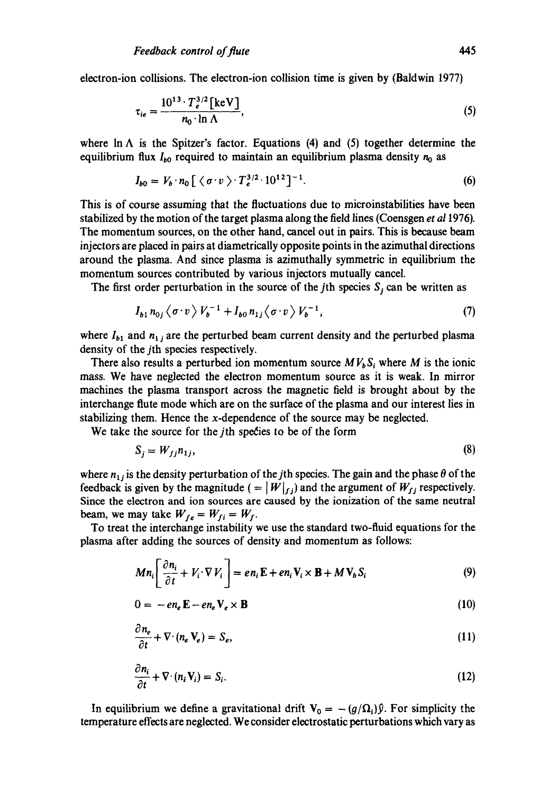electron-ion collisions. The electron-ion collision time is given by (Baldwin 1977)

$$
\tau_{ie} = \frac{10^{13} \cdot T_e^{3/2} \text{[keV]}}{n_0 \cdot \ln \Lambda},\tag{5}
$$

where In  $\Lambda$  is the Spitzer's factor. Equations (4) and (5) together determine the equilibrium flux  $I_{b0}$  required to maintain an equilibrium plasma density  $n_0$  as

$$
I_{b0} = V_b \cdot n_0 \left[ \left\langle \sigma \cdot v \right\rangle \cdot T_e^{3/2} \cdot 10^{12} \right]^{-1} . \tag{6}
$$

This is of course assuming that the fluctuations due to microinstabilities have been stabilized by the motion of the target plasma along the field lines (Coensgen *et a11976).*  The momentum sources, on the other hand, cancel out in pairs. This is because beam injectors are placed in pairs at diametrically opposite points in the azimuthal directions around the plasma. And since plasma is azimuthally symmetric in equilibrium the momentum sources contributed by various injectors mutually cancel.

The first order perturbation in the source of the jth species  $S_i$  can be written as

$$
I_{b1} n_{0j} \langle \sigma \cdot v \rangle V_b^{-1} + I_{b0} n_{1j} \langle \sigma \cdot v \rangle V_b^{-1}, \tag{7}
$$

where  $I_{b1}$  and  $n_{1j}$  are the perturbed beam current density and the perturbed plasma density of the jth species respectively.

There also results a perturbed ion momentum source  $MV<sub>b</sub> S<sub>i</sub>$  where M is the ionic mass. We have neglected the electron momentum source as it is weak. In mirror machines the plasma transport across the magnetic field is brought about by the interchange flute mode which are on the surface of the plasma and our interest lies in stabilizing them. Hence the x-dependence of the source may be neglected.

We take the source for the *j*th species to be of the form

$$
S_j = W_{jj} n_{1j},\tag{8}
$$

where  $n_{1j}$  is the density perturbation of the jth species. The gain and the phase  $\theta$  of the feedback is given by the magnitude ( $= |W|_{f,j}$ ) and the argument of  $W_{f,j}$  respectively. Since the electron and ion sources are caused by the ionization of the same neutral beam, we may take  $W_{fe} = W_{fi} = W_f$ .

To treat the interchange instability we use the standard two-fluid equations for the plasma after adding the sources of density and momentum as follows:

$$
Mn_i \left[ \frac{\partial n_i}{\partial t} + V_i \cdot \nabla V_i \right] = en_i \mathbf{E} + en_i \mathbf{V}_i \times \mathbf{B} + M \mathbf{V}_b S_i
$$
 (9)

$$
0 = -en_e \mathbf{E} - en_e \mathbf{V}_e \times \mathbf{B}
$$
 (10)

$$
\frac{\partial n_e}{\partial t} + \nabla \cdot (n_e \mathbf{V}_e) = S_e, \tag{11}
$$

$$
\frac{\partial n_i}{\partial t} + \nabla \cdot (n_i \mathbf{V}_i) = S_i. \tag{12}
$$

In equilibrium we define a gravitational drift  $V_0 = -(g/\Omega_i)\hat{y}$ . For simplicity the temperature effects are neglected. We consider electrostatic perturbations which vary as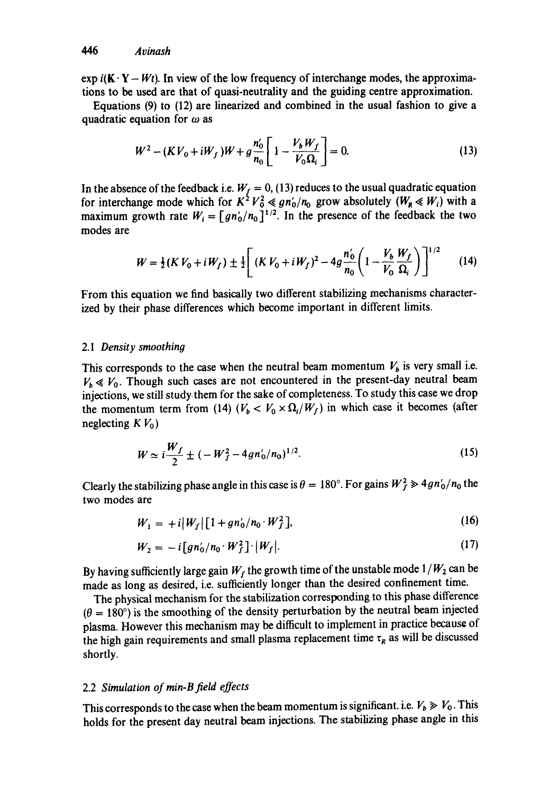exp  $i(K \cdot Y - Wt)$ . In view of the low frequency of interchange modes, the approximations to be used are that of quasi-neutrality and the guiding centre approximation.

Equations (9) to (12) are linearized and combined in the usual fashion to give a quadratic equation for  $\omega$  as

$$
W^{2} - (KV_{0} + iW_{f})W + g\frac{n'_{0}}{n_{0}} \left[1 - \frac{V_{b}W_{f}}{V_{0}\Omega_{i}}\right] = 0.
$$
 (13)

In the absence of the feedback i.e.  $W_f = 0$ , (13) reduces to the usual quadratic equation for interchange mode which for  $K^2 V_0^2 \ll g n_0'/n_0$  grow absolutely  $(W_R \ll W_i)$  with a maximum growth rate  $W_i = [gn'_0/n_0]^{1/2}$ . In the presence of the feedback the two modes are

$$
W = \frac{1}{2}(K V_0 + iW_f) \pm \frac{1}{2} \left[ (K V_0 + iW_f)^2 - 4g \frac{n'_0}{n_0} \left( 1 - \frac{V_b}{V_0} \frac{W_f}{\Omega_i} \right) \right]^{1/2}
$$
 (14)

From this equation we find basically two different stabilizing mechanisms characterized by their phase differences which become important in different limits.

## 2.1 *Density smoothing*

This corresponds to the case when the neutral beam momentum  $V_b$  is very small i.e.  $V_b \ll V_0$ . Though such cases are not encountered in the present-day neutral beam injections, we still study.them for the sake of completeness. To study this case we drop the momentum term from (14)  $(V_b < V_0 \times \Omega_i/W_f)$  in which case it becomes (after neglecting  $K V_0$ )

$$
W \simeq i \frac{W_f}{2} \pm (-W_f^2 - 4gn'_0/n_0)^{1/2}.
$$
 (15)

Clearly the stabilizing phase angle in this case is  $\theta = 180^\circ$ . For gains  $W_f^2 \gg 4gn_0'/n_0$  the two modes are

$$
W_1 = +i[W_f][1 + gn'_0/n_0 \cdot W_f^2], \qquad (16)
$$

$$
W_2 = -i \left[ g n_0' / n_0 \cdot W_f^2 \right] \cdot |W_f|.
$$
 (17)

By having sufficiently large gain  $W_f$  the growth time of the unstable mode  $1/W_2$  can be made as long as desired, i.e. sufficiently longer than the desired confinement time.

The physical mechanism for the stabilization corresponding to this phase difference  $(\theta = 180^{\circ})$  is the smoothing of the density perturbation by the neutral beam injected plasma. However this mechanism may be difficult to implement in practice because of the high gain requirements and small plasma replacement time  $\tau_R$  as will be discussed shortly.

## 2.2 *Simulation of min-B field effects*

This corresponds to the case when the beam momentum is significant, i.e.  $V_b \ge V_0$ . This holds for the present day neutral beam injections. The stabilizing phase angle in this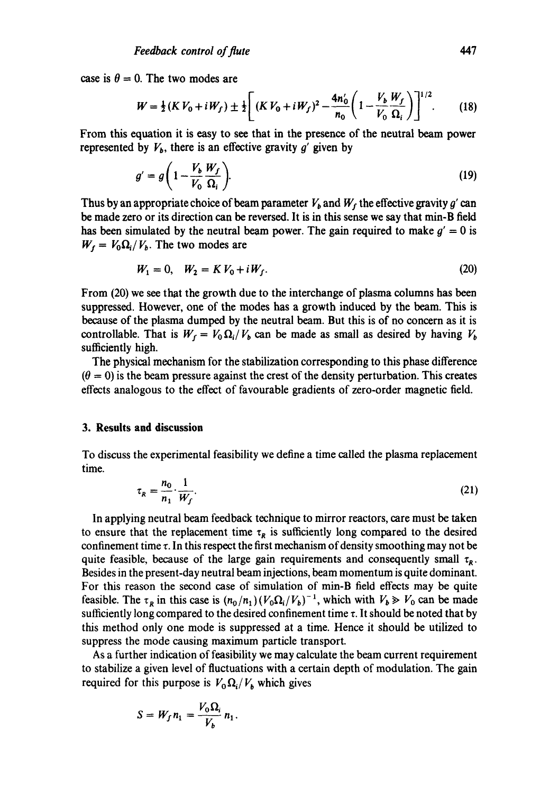case is  $\theta = 0$ . The two modes are

$$
W = \frac{1}{2}(K V_0 + iW_f) \pm \frac{1}{2} \left[ (K V_0 + iW_f)^2 - \frac{4n'_0}{n_0} \left( 1 - \frac{V_b W_f}{V_0 \Omega_i} \right) \right]^{1/2}.
$$
 (18)

From this equation it is easy to see that in the presence of the neutral beam power represented by  $V_b$ , there is an effective gravity g' given by

$$
g' = g\left(1 - \frac{V_b}{V_0} \frac{W_f}{\Omega_i}\right). \tag{19}
$$

Thus by an appropriate choice of beam parameter  $V_b$  and  $W_f$  the effective gravity g' can be made zero or its direction can be reversed. It is in this sense we say that min-B field has been simulated by the neutral beam power. The gain required to make  $g' = 0$  is  $W_f = V_0 \Omega_i / V_b$ . The two modes are

$$
W_1 = 0, \quad W_2 = K V_0 + i W_f. \tag{20}
$$

From (20) we see that the growth due to the interchange of plasma columns has been suppressed. However, one of the modes has a growth induced by the beam. This is because of the plasma dumped by the neutral beam. But this is of no concern as it is controllable. That is  $W_f = V_0 \Omega_i / V_b$  can be made as small as desired by having  $V_b$ sufficiently high.

The physical mechanism for the stabilization corresponding to this phase difference  $(\theta = 0)$  is the beam pressure against the crest of the density perturbation. This creates effects analogous to the effect of favourable gradients of zero-order magnetic field.

#### **3. Results and discussion**

To discuss the experimental feasibility we define a time called the plasma replacement time.

$$
\tau_R = \frac{n_0}{n_1} \cdot \frac{1}{W_f}.\tag{21}
$$

In applying neutral beam feedback technique to mirror reactors, care must be taken to ensure that the replacement time  $\tau_R$  is sufficiently long compared to the desired confinement time  $\tau$ . In this respect the first mechanism of density smoothing may not be quite feasible, because of the large gain requirements and consequently small  $\tau<sub>R</sub>$ . Besides in the present-day neutral beam injections, beam momentum is quite dominant. For this reason the second case of simulation of min-B field effects may be quite feasible. The  $\tau_R$  in this case is  $(n_0/n_1) (V_0\Omega_i/V_b)^{-1}$ , which with  $V_b \gg V_0$  can be made sufficiently long compared to the desired confinement time  $\tau$ . It should be noted that by this method only one mode is suppressed at a time. Hence it should be utilized to suppress the mode causing maximum particle transport.

As a further indication of feasibility we may calculate the beam current requirement to stabilize a given level of fluctuations with a certain depth of modulation. The gain required for this purpose is  $V_0 \Omega_i / V_b$  which gives

$$
S = W_f n_1 = \frac{V_0 \Omega_i}{V_b} n_1.
$$